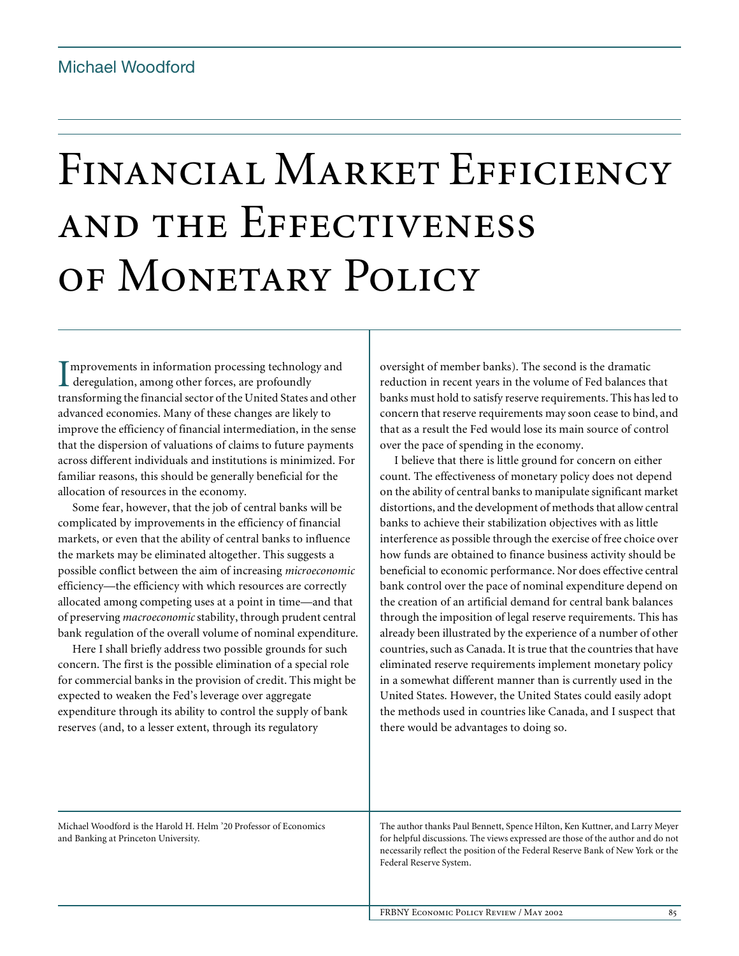# FINANCIAL MARKET EFFICIENCY and the Effectiveness of Monetary Policy

Improvements in information processing technology and<br>deregulation, among other forces, are profoundly deregulation, among other forces, are profoundly transforming the financial sector of the United States and other advanced economies. Many of these changes are likely to improve the efficiency of financial intermediation, in the sense that the dispersion of valuations of claims to future payments across different individuals and institutions is minimized. For familiar reasons, this should be generally beneficial for the allocation of resources in the economy.

Some fear, however, that the job of central banks will be complicated by improvements in the efficiency of financial markets, or even that the ability of central banks to influence the markets may be eliminated altogether. This suggests a possible conflict between the aim of increasing *microeconomic* efficiency—the efficiency with which resources are correctly allocated among competing uses at a point in time—and that of preserving *macroeconomic* stability, through prudent central bank regulation of the overall volume of nominal expenditure.

Here I shall briefly address two possible grounds for such concern. The first is the possible elimination of a special role for commercial banks in the provision of credit. This might be expected to weaken the Fed's leverage over aggregate expenditure through its ability to control the supply of bank reserves (and, to a lesser extent, through its regulatory

oversight of member banks). The second is the dramatic reduction in recent years in the volume of Fed balances that banks must hold to satisfy reserve requirements. This has led to concern that reserve requirements may soon cease to bind, and that as a result the Fed would lose its main source of control over the pace of spending in the economy.

I believe that there is little ground for concern on either count. The effectiveness of monetary policy does not depend on the ability of central banks to manipulate significant market distortions, and the development of methods that allow central banks to achieve their stabilization objectives with as little interference as possible through the exercise of free choice over how funds are obtained to finance business activity should be beneficial to economic performance. Nor does effective central bank control over the pace of nominal expenditure depend on the creation of an artificial demand for central bank balances through the imposition of legal reserve requirements. This has already been illustrated by the experience of a number of other countries, such as Canada. It is true that the countries that have eliminated reserve requirements implement monetary policy in a somewhat different manner than is currently used in the United States. However, the United States could easily adopt the methods used in countries like Canada, and I suspect that there would be advantages to doing so.

Michael Woodford is the Harold H. Helm '20 Professor of Economics and Banking at Princeton University.

The author thanks Paul Bennett, Spence Hilton, Ken Kuttner, and Larry Meyer for helpful discussions. The views expressed are those of the author and do not necessarily reflect the position of the Federal Reserve Bank of New York or the Federal Reserve System.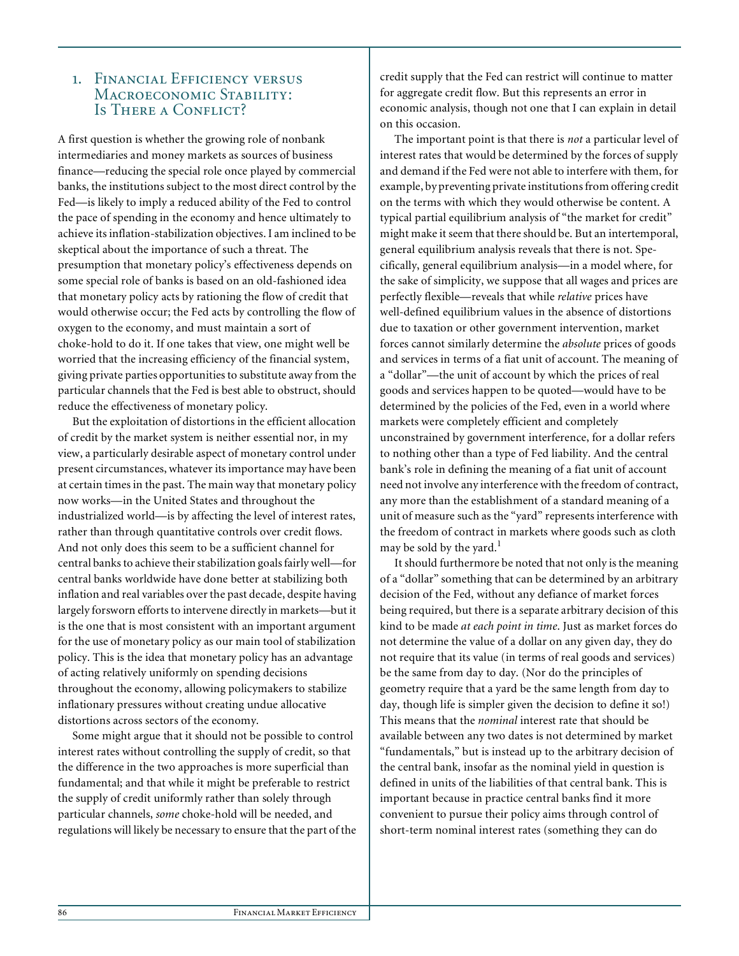### 1. Financial Efficiency versus MACROECONOMIC STABILITY: Is THERE A CONFLICT?

A first question is whether the growing role of nonbank intermediaries and money markets as sources of business finance—reducing the special role once played by commercial banks, the institutions subject to the most direct control by the Fed—is likely to imply a reduced ability of the Fed to control the pace of spending in the economy and hence ultimately to achieve its inflation-stabilization objectives. I am inclined to be skeptical about the importance of such a threat. The presumption that monetary policy's effectiveness depends on some special role of banks is based on an old-fashioned idea that monetary policy acts by rationing the flow of credit that would otherwise occur; the Fed acts by controlling the flow of oxygen to the economy, and must maintain a sort of choke-hold to do it. If one takes that view, one might well be worried that the increasing efficiency of the financial system, giving private parties opportunities to substitute away from the particular channels that the Fed is best able to obstruct, should reduce the effectiveness of monetary policy.

But the exploitation of distortions in the efficient allocation of credit by the market system is neither essential nor, in my view, a particularly desirable aspect of monetary control under present circumstances, whatever its importance may have been at certain times in the past. The main way that monetary policy now works—in the United States and throughout the industrialized world—is by affecting the level of interest rates, rather than through quantitative controls over credit flows. And not only does this seem to be a sufficient channel for central banks to achieve their stabilization goals fairly well—for central banks worldwide have done better at stabilizing both inflation and real variables over the past decade, despite having largely forsworn efforts to intervene directly in markets—but it is the one that is most consistent with an important argument for the use of monetary policy as our main tool of stabilization policy. This is the idea that monetary policy has an advantage of acting relatively uniformly on spending decisions throughout the economy, allowing policymakers to stabilize inflationary pressures without creating undue allocative distortions across sectors of the economy.

Some might argue that it should not be possible to control interest rates without controlling the supply of credit, so that the difference in the two approaches is more superficial than fundamental; and that while it might be preferable to restrict the supply of credit uniformly rather than solely through particular channels, *some* choke-hold will be needed, and regulations will likely be necessary to ensure that the part of the credit supply that the Fed can restrict will continue to matter for aggregate credit flow. But this represents an error in economic analysis, though not one that I can explain in detail on this occasion.

The important point is that there is *not* a particular level of interest rates that would be determined by the forces of supply and demand if the Fed were not able to interfere with them, for example, by preventing private institutions from offering credit on the terms with which they would otherwise be content. A typical partial equilibrium analysis of "the market for credit" might make it seem that there should be. But an intertemporal, general equilibrium analysis reveals that there is not. Specifically, general equilibrium analysis—in a model where, for the sake of simplicity, we suppose that all wages and prices are perfectly flexible—reveals that while *relative* prices have well-defined equilibrium values in the absence of distortions due to taxation or other government intervention, market forces cannot similarly determine the *absolute* prices of goods and services in terms of a fiat unit of account. The meaning of a "dollar"—the unit of account by which the prices of real goods and services happen to be quoted—would have to be determined by the policies of the Fed, even in a world where markets were completely efficient and completely unconstrained by government interference, for a dollar refers to nothing other than a type of Fed liability. And the central bank's role in defining the meaning of a fiat unit of account need not involve any interference with the freedom of contract, any more than the establishment of a standard meaning of a unit of measure such as the "yard" represents interference with the freedom of contract in markets where goods such as cloth may be sold by the yard.<sup>1</sup>

It should furthermore be noted that not only is the meaning of a "dollar" something that can be determined by an arbitrary decision of the Fed, without any defiance of market forces being required, but there is a separate arbitrary decision of this kind to be made *at each point in time*. Just as market forces do not determine the value of a dollar on any given day, they do not require that its value (in terms of real goods and services) be the same from day to day. (Nor do the principles of geometry require that a yard be the same length from day to day, though life is simpler given the decision to define it so!) This means that the *nominal* interest rate that should be available between any two dates is not determined by market "fundamentals," but is instead up to the arbitrary decision of the central bank, insofar as the nominal yield in question is defined in units of the liabilities of that central bank. This is important because in practice central banks find it more convenient to pursue their policy aims through control of short-term nominal interest rates (something they can do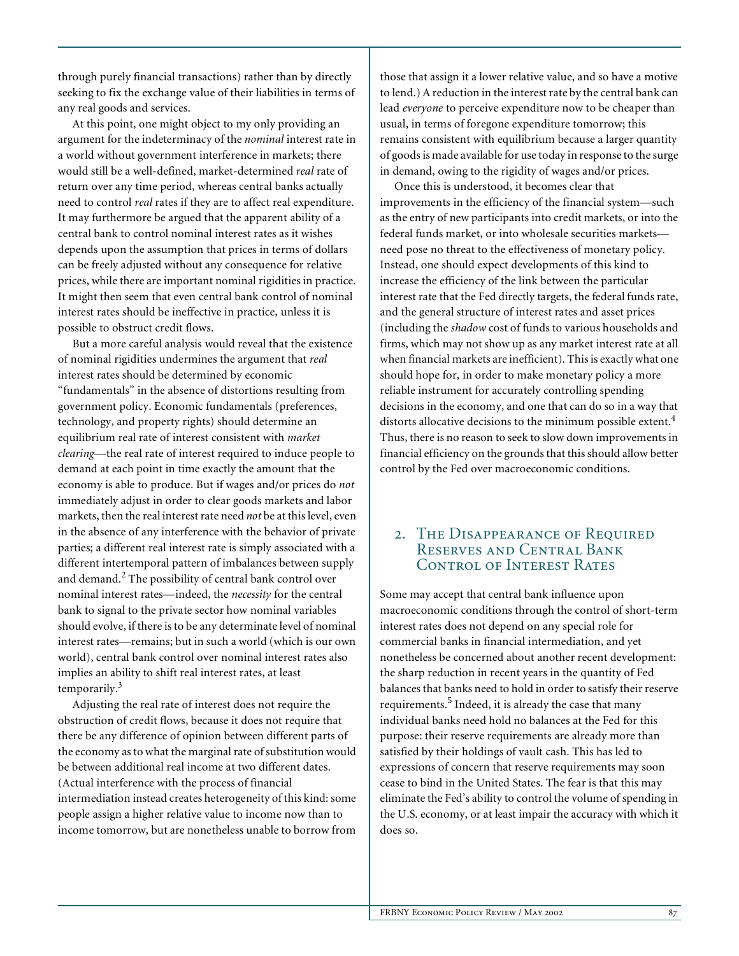through purely financial transactions) rather than by directly seeking to fix the exchange value of their liabilities in terms of any real goods and services.

At this point, one might object to my only providing an argument for the indeterminacy of the *nominal* interest rate in a world without government interference in markets; there would still be a well-defined, market-determined *real* rate of return over any time period, whereas central banks actually need to control *real* rates if they are to affect real expenditure. It may furthermore be argued that the apparent ability of a central bank to control nominal interest rates as it wishes depends upon the assumption that prices in terms of dollars can be freely adjusted without any consequence for relative prices, while there are important nominal rigidities in practice. It might then seem that even central bank control of nominal interest rates should be ineffective in practice, unless it is possible to obstruct credit flows.

But a more careful analysis would reveal that the existence of nominal rigidities undermines the argument that *real* interest rates should be determined by economic "fundamentals" in the absence of distortions resulting from government policy. Economic fundamentals (preferences, technology, and property rights) should determine an equilibrium real rate of interest consistent with *market clearing*—the real rate of interest required to induce people to demand at each point in time exactly the amount that the economy is able to produce. But if wages and/or prices do *not* immediately adjust in order to clear goods markets and labor markets, then the real interest rate need *not* be at this level, even in the absence of any interference with the behavior of private parties; a different real interest rate is simply associated with a different intertemporal pattern of imbalances between supply and demand. $^{2}$  The possibility of central bank control over nominal interest rates—indeed, the *necessity* for the central bank to signal to the private sector how nominal variables should evolve, if there is to be any determinate level of nominal interest rates—remains; but in such a world (which is our own world), central bank control over nominal interest rates also implies an ability to shift real interest rates, at least temporarily.<sup>3</sup>

Adjusting the real rate of interest does not require the obstruction of credit flows, because it does not require that there be any difference of opinion between different parts of the economy as to what the marginal rate of substitution would be between additional real income at two different dates. (Actual interference with the process of financial intermediation instead creates heterogeneity of this kind: some people assign a higher relative value to income now than to income tomorrow, but are nonetheless unable to borrow from those that assign it a lower relative value, and so have a motive to lend.) A reduction in the interest rate by the central bank can lead *everyone* to perceive expenditure now to be cheaper than usual, in terms of foregone expenditure tomorrow; this remains consistent with equilibrium because a larger quantity of goods is made available for use today in response to the surge in demand, owing to the rigidity of wages and/or prices.

Once this is understood, it becomes clear that improvements in the efficiency of the financial system—such as the entry of new participants into credit markets, or into the federal funds market, or into wholesale securities markets need pose no threat to the effectiveness of monetary policy. Instead, one should expect developments of this kind to increase the efficiency of the link between the particular interest rate that the Fed directly targets, the federal funds rate, and the general structure of interest rates and asset prices (including the *shadow* cost of funds to various households and firms, which may not show up as any market interest rate at all when financial markets are inefficient). This is exactly what one should hope for, in order to make monetary policy a more reliable instrument for accurately controlling spending decisions in the economy, and one that can do so in a way that distorts allocative decisions to the minimum possible extent.<sup>4</sup> Thus, there is no reason to seek to slow down improvements in financial efficiency on the grounds that this should allow better control by the Fed over macroeconomic conditions.

## 2. THE DISAPPEARANCE OF REQUIRED Reserves and Central Bank CONTROL OF INTEREST RATES

Some may accept that central bank influence upon macroeconomic conditions through the control of short-term interest rates does not depend on any special role for commercial banks in financial intermediation, and yet nonetheless be concerned about another recent development: the sharp reduction in recent years in the quantity of Fed balances that banks need to hold in order to satisfy their reserve requirements.<sup>5</sup> Indeed, it is already the case that many individual banks need hold no balances at the Fed for this purpose: their reserve requirements are already more than satisfied by their holdings of vault cash. This has led to expressions of concern that reserve requirements may soon cease to bind in the United States. The fear is that this may eliminate the Fed's ability to control the volume of spending in the U.S. economy, or at least impair the accuracy with which it does so.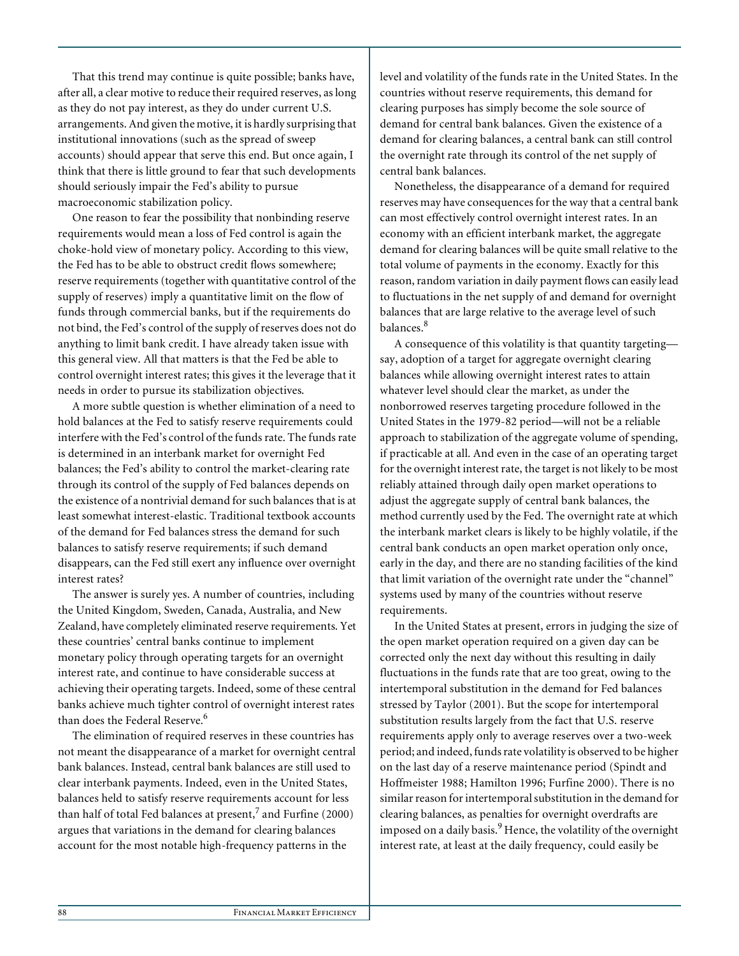That this trend may continue is quite possible; banks have, after all, a clear motive to reduce their required reserves, as long as they do not pay interest, as they do under current U.S. arrangements. And given the motive, it is hardly surprising that institutional innovations (such as the spread of sweep accounts) should appear that serve this end. But once again, I think that there is little ground to fear that such developments should seriously impair the Fed's ability to pursue macroeconomic stabilization policy.

One reason to fear the possibility that nonbinding reserve requirements would mean a loss of Fed control is again the choke-hold view of monetary policy. According to this view, the Fed has to be able to obstruct credit flows somewhere; reserve requirements (together with quantitative control of the supply of reserves) imply a quantitative limit on the flow of funds through commercial banks, but if the requirements do not bind, the Fed's control of the supply of reserves does not do anything to limit bank credit. I have already taken issue with this general view. All that matters is that the Fed be able to control overnight interest rates; this gives it the leverage that it needs in order to pursue its stabilization objectives.

A more subtle question is whether elimination of a need to hold balances at the Fed to satisfy reserve requirements could interfere with the Fed's control of the funds rate. The funds rate is determined in an interbank market for overnight Fed balances; the Fed's ability to control the market-clearing rate through its control of the supply of Fed balances depends on the existence of a nontrivial demand for such balances that is at least somewhat interest-elastic. Traditional textbook accounts of the demand for Fed balances stress the demand for such balances to satisfy reserve requirements; if such demand disappears, can the Fed still exert any influence over overnight interest rates?

The answer is surely yes. A number of countries, including the United Kingdom, Sweden, Canada, Australia, and New Zealand, have completely eliminated reserve requirements. Yet these countries' central banks continue to implement monetary policy through operating targets for an overnight interest rate, and continue to have considerable success at achieving their operating targets. Indeed, some of these central banks achieve much tighter control of overnight interest rates than does the Federal Reserve.<sup>6</sup>

The elimination of required reserves in these countries has not meant the disappearance of a market for overnight central bank balances. Instead, central bank balances are still used to clear interbank payments. Indeed, even in the United States, balances held to satisfy reserve requirements account for less than half of total Fed balances at present, $^7$  and Furfine (2000) argues that variations in the demand for clearing balances account for the most notable high-frequency patterns in the

level and volatility of the funds rate in the United States. In the countries without reserve requirements, this demand for clearing purposes has simply become the sole source of demand for central bank balances. Given the existence of a demand for clearing balances, a central bank can still control the overnight rate through its control of the net supply of central bank balances.

Nonetheless, the disappearance of a demand for required reserves may have consequences for the way that a central bank can most effectively control overnight interest rates. In an economy with an efficient interbank market, the aggregate demand for clearing balances will be quite small relative to the total volume of payments in the economy. Exactly for this reason, random variation in daily payment flows can easily lead to fluctuations in the net supply of and demand for overnight balances that are large relative to the average level of such balances.<sup>8</sup>

A consequence of this volatility is that quantity targeting say, adoption of a target for aggregate overnight clearing balances while allowing overnight interest rates to attain whatever level should clear the market, as under the nonborrowed reserves targeting procedure followed in the United States in the 1979-82 period—will not be a reliable approach to stabilization of the aggregate volume of spending, if practicable at all. And even in the case of an operating target for the overnight interest rate, the target is not likely to be most reliably attained through daily open market operations to adjust the aggregate supply of central bank balances, the method currently used by the Fed. The overnight rate at which the interbank market clears is likely to be highly volatile, if the central bank conducts an open market operation only once, early in the day, and there are no standing facilities of the kind that limit variation of the overnight rate under the "channel" systems used by many of the countries without reserve requirements.

In the United States at present, errors in judging the size of the open market operation required on a given day can be corrected only the next day without this resulting in daily fluctuations in the funds rate that are too great, owing to the intertemporal substitution in the demand for Fed balances stressed by Taylor (2001). But the scope for intertemporal substitution results largely from the fact that U.S. reserve requirements apply only to average reserves over a two-week period; and indeed, funds rate volatility is observed to be higher on the last day of a reserve maintenance period (Spindt and Hoffmeister 1988; Hamilton 1996; Furfine 2000). There is no similar reason for intertemporal substitution in the demand for clearing balances, as penalties for overnight overdrafts are imposed on a daily basis.<sup>9</sup> Hence, the volatility of the overnight interest rate, at least at the daily frequency, could easily be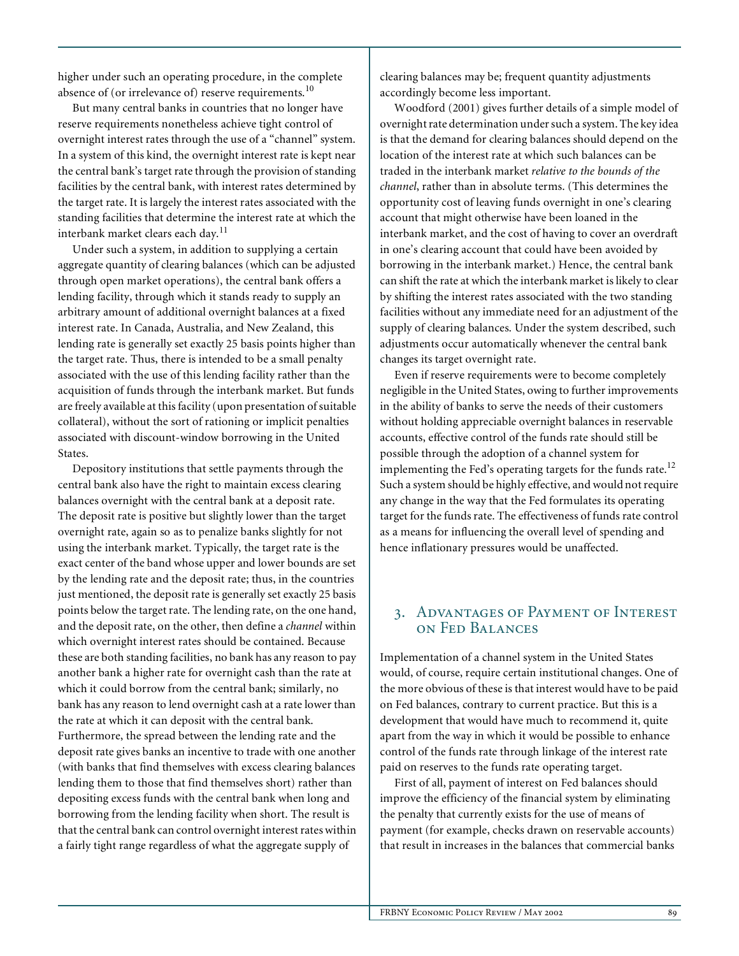higher under such an operating procedure, in the complete absence of (or irrelevance of) reserve requirements.<sup>10</sup>

But many central banks in countries that no longer have reserve requirements nonetheless achieve tight control of overnight interest rates through the use of a "channel" system. In a system of this kind, the overnight interest rate is kept near the central bank's target rate through the provision of standing facilities by the central bank, with interest rates determined by the target rate. It is largely the interest rates associated with the standing facilities that determine the interest rate at which the interbank market clears each day.<sup>11</sup>

Under such a system, in addition to supplying a certain aggregate quantity of clearing balances (which can be adjusted through open market operations), the central bank offers a lending facility, through which it stands ready to supply an arbitrary amount of additional overnight balances at a fixed interest rate. In Canada, Australia, and New Zealand, this lending rate is generally set exactly 25 basis points higher than the target rate. Thus, there is intended to be a small penalty associated with the use of this lending facility rather than the acquisition of funds through the interbank market. But funds are freely available at this facility (upon presentation of suitable collateral), without the sort of rationing or implicit penalties associated with discount-window borrowing in the United States.

Depository institutions that settle payments through the central bank also have the right to maintain excess clearing balances overnight with the central bank at a deposit rate. The deposit rate is positive but slightly lower than the target overnight rate, again so as to penalize banks slightly for not using the interbank market. Typically, the target rate is the exact center of the band whose upper and lower bounds are set by the lending rate and the deposit rate; thus, in the countries just mentioned, the deposit rate is generally set exactly 25 basis points below the target rate. The lending rate, on the one hand, and the deposit rate, on the other, then define a *channel* within which overnight interest rates should be contained. Because these are both standing facilities, no bank has any reason to pay another bank a higher rate for overnight cash than the rate at which it could borrow from the central bank; similarly, no bank has any reason to lend overnight cash at a rate lower than the rate at which it can deposit with the central bank. Furthermore, the spread between the lending rate and the deposit rate gives banks an incentive to trade with one another (with banks that find themselves with excess clearing balances lending them to those that find themselves short) rather than depositing excess funds with the central bank when long and borrowing from the lending facility when short. The result is that the central bank can control overnight interest rates within a fairly tight range regardless of what the aggregate supply of

clearing balances may be; frequent quantity adjustments accordingly become less important.

Woodford (2001) gives further details of a simple model of overnight rate determination under such a system. The key idea is that the demand for clearing balances should depend on the location of the interest rate at which such balances can be traded in the interbank market *relative to the bounds of the channel*, rather than in absolute terms. (This determines the opportunity cost of leaving funds overnight in one's clearing account that might otherwise have been loaned in the interbank market, and the cost of having to cover an overdraft in one's clearing account that could have been avoided by borrowing in the interbank market.) Hence, the central bank can shift the rate at which the interbank market is likely to clear by shifting the interest rates associated with the two standing facilities without any immediate need for an adjustment of the supply of clearing balances. Under the system described, such adjustments occur automatically whenever the central bank changes its target overnight rate.

Even if reserve requirements were to become completely negligible in the United States, owing to further improvements in the ability of banks to serve the needs of their customers without holding appreciable overnight balances in reservable accounts, effective control of the funds rate should still be possible through the adoption of a channel system for implementing the Fed's operating targets for the funds rate. $^{12}$ Such a system should be highly effective, and would not require any change in the way that the Fed formulates its operating target for the funds rate. The effectiveness of funds rate control as a means for influencing the overall level of spending and hence inflationary pressures would be unaffected.

# 3. Advantages of Payment of Interest on Fed Balances

Implementation of a channel system in the United States would, of course, require certain institutional changes. One of the more obvious of these is that interest would have to be paid on Fed balances, contrary to current practice. But this is a development that would have much to recommend it, quite apart from the way in which it would be possible to enhance control of the funds rate through linkage of the interest rate paid on reserves to the funds rate operating target.

First of all, payment of interest on Fed balances should improve the efficiency of the financial system by eliminating the penalty that currently exists for the use of means of payment (for example, checks drawn on reservable accounts) that result in increases in the balances that commercial banks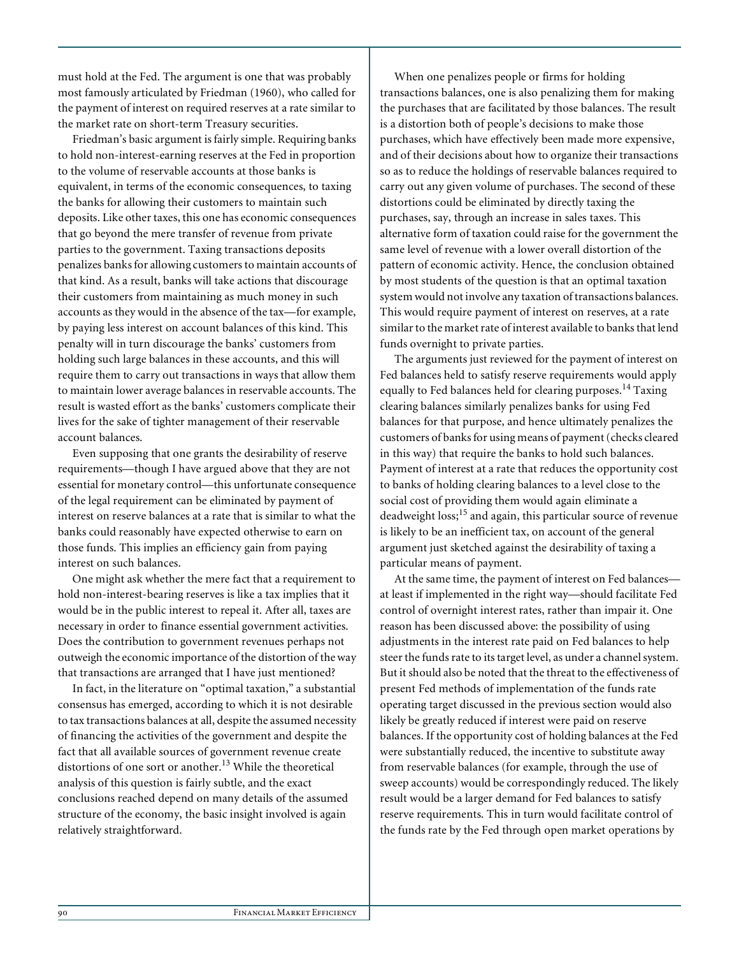must hold at the Fed. The argument is one that was probably most famously articulated by Friedman (1960), who called for the payment of interest on required reserves at a rate similar to the market rate on short-term Treasury securities.

Friedman's basic argument is fairly simple. Requiring banks to hold non-interest-earning reserves at the Fed in proportion to the volume of reservable accounts at those banks is equivalent, in terms of the economic consequences, to taxing the banks for allowing their customers to maintain such deposits. Like other taxes, this one has economic consequences that go beyond the mere transfer of revenue from private parties to the government. Taxing transactions deposits penalizes banks for allowing customers to maintain accounts of that kind. As a result, banks will take actions that discourage their customers from maintaining as much money in such accounts as they would in the absence of the tax—for example, by paying less interest on account balances of this kind. This penalty will in turn discourage the banks' customers from holding such large balances in these accounts, and this will require them to carry out transactions in ways that allow them to maintain lower average balances in reservable accounts. The result is wasted effort as the banks' customers complicate their lives for the sake of tighter management of their reservable account balances.

Even supposing that one grants the desirability of reserve requirements—though I have argued above that they are not essential for monetary control—this unfortunate consequence of the legal requirement can be eliminated by payment of interest on reserve balances at a rate that is similar to what the banks could reasonably have expected otherwise to earn on those funds. This implies an efficiency gain from paying interest on such balances.

One might ask whether the mere fact that a requirement to hold non-interest-bearing reserves is like a tax implies that it would be in the public interest to repeal it. After all, taxes are necessary in order to finance essential government activities. Does the contribution to government revenues perhaps not outweigh the economic importance of the distortion of the way that transactions are arranged that I have just mentioned?

In fact, in the literature on "optimal taxation," a substantial consensus has emerged, according to which it is not desirable to tax transactions balances at all, despite the assumed necessity of financing the activities of the government and despite the fact that all available sources of government revenue create distortions of one sort or another.<sup>13</sup> While the theoretical analysis of this question is fairly subtle, and the exact conclusions reached depend on many details of the assumed structure of the economy, the basic insight involved is again relatively straightforward.

When one penalizes people or firms for holding transactions balances, one is also penalizing them for making the purchases that are facilitated by those balances. The result is a distortion both of people's decisions to make those purchases, which have effectively been made more expensive, and of their decisions about how to organize their transactions so as to reduce the holdings of reservable balances required to carry out any given volume of purchases. The second of these distortions could be eliminated by directly taxing the purchases, say, through an increase in sales taxes. This alternative form of taxation could raise for the government the same level of revenue with a lower overall distortion of the pattern of economic activity. Hence, the conclusion obtained by most students of the question is that an optimal taxation system would not involve any taxation of transactions balances. This would require payment of interest on reserves, at a rate similar to the market rate of interest available to banks that lend funds overnight to private parties.

The arguments just reviewed for the payment of interest on Fed balances held to satisfy reserve requirements would apply equally to Fed balances held for clearing purposes.<sup>14</sup> Taxing clearing balances similarly penalizes banks for using Fed balances for that purpose, and hence ultimately penalizes the customers of banks for using means of payment (checks cleared in this way) that require the banks to hold such balances. Payment of interest at a rate that reduces the opportunity cost to banks of holding clearing balances to a level close to the social cost of providing them would again eliminate a deadweight loss;15 and again, this particular source of revenue is likely to be an inefficient tax, on account of the general argument just sketched against the desirability of taxing a particular means of payment.

At the same time, the payment of interest on Fed balances at least if implemented in the right way—should facilitate Fed control of overnight interest rates, rather than impair it. One reason has been discussed above: the possibility of using adjustments in the interest rate paid on Fed balances to help steer the funds rate to its target level, as under a channel system. But it should also be noted that the threat to the effectiveness of present Fed methods of implementation of the funds rate operating target discussed in the previous section would also likely be greatly reduced if interest were paid on reserve balances. If the opportunity cost of holding balances at the Fed were substantially reduced, the incentive to substitute away from reservable balances (for example, through the use of sweep accounts) would be correspondingly reduced. The likely result would be a larger demand for Fed balances to satisfy reserve requirements. This in turn would facilitate control of the funds rate by the Fed through open market operations by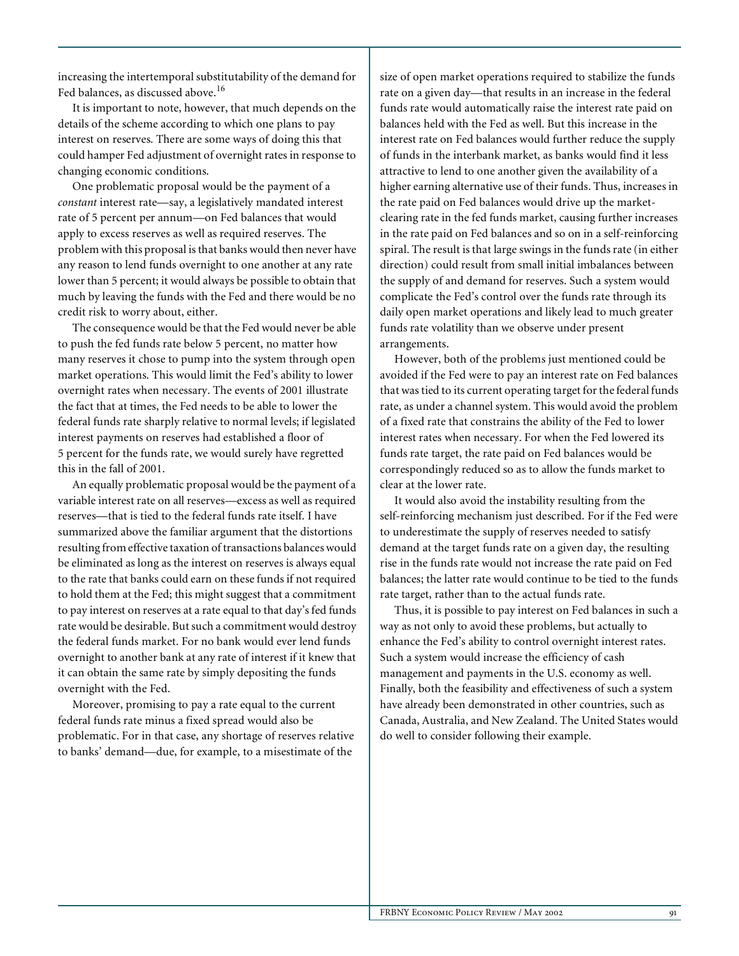increasing the intertemporal substitutability of the demand for Fed balances, as discussed above.<sup>16</sup>

It is important to note, however, that much depends on the details of the scheme according to which one plans to pay interest on reserves. There are some ways of doing this that could hamper Fed adjustment of overnight rates in response to changing economic conditions.

One problematic proposal would be the payment of a *constant* interest rate—say, a legislatively mandated interest rate of 5 percent per annum—on Fed balances that would apply to excess reserves as well as required reserves. The problem with this proposal is that banks would then never have any reason to lend funds overnight to one another at any rate lower than 5 percent; it would always be possible to obtain that much by leaving the funds with the Fed and there would be no credit risk to worry about, either.

The consequence would be that the Fed would never be able to push the fed funds rate below 5 percent, no matter how many reserves it chose to pump into the system through open market operations. This would limit the Fed's ability to lower overnight rates when necessary. The events of 2001 illustrate the fact that at times, the Fed needs to be able to lower the federal funds rate sharply relative to normal levels; if legislated interest payments on reserves had established a floor of 5 percent for the funds rate, we would surely have regretted this in the fall of 2001.

An equally problematic proposal would be the payment of a variable interest rate on all reserves—excess as well as required reserves—that is tied to the federal funds rate itself. I have summarized above the familiar argument that the distortions resulting from effective taxation of transactions balances would be eliminated as long as the interest on reserves is always equal to the rate that banks could earn on these funds if not required to hold them at the Fed; this might suggest that a commitment to pay interest on reserves at a rate equal to that day's fed funds rate would be desirable. But such a commitment would destroy the federal funds market. For no bank would ever lend funds overnight to another bank at any rate of interest if it knew that it can obtain the same rate by simply depositing the funds overnight with the Fed.

Moreover, promising to pay a rate equal to the current federal funds rate minus a fixed spread would also be problematic. For in that case, any shortage of reserves relative to banks' demand—due, for example, to a misestimate of the

size of open market operations required to stabilize the funds rate on a given day—that results in an increase in the federal funds rate would automatically raise the interest rate paid on balances held with the Fed as well. But this increase in the interest rate on Fed balances would further reduce the supply of funds in the interbank market, as banks would find it less attractive to lend to one another given the availability of a higher earning alternative use of their funds. Thus, increases in the rate paid on Fed balances would drive up the marketclearing rate in the fed funds market, causing further increases in the rate paid on Fed balances and so on in a self-reinforcing spiral. The result is that large swings in the funds rate (in either direction) could result from small initial imbalances between the supply of and demand for reserves. Such a system would complicate the Fed's control over the funds rate through its daily open market operations and likely lead to much greater funds rate volatility than we observe under present arrangements.

However, both of the problems just mentioned could be avoided if the Fed were to pay an interest rate on Fed balances that was tied to its current operating target for the federal funds rate, as under a channel system. This would avoid the problem of a fixed rate that constrains the ability of the Fed to lower interest rates when necessary. For when the Fed lowered its funds rate target, the rate paid on Fed balances would be correspondingly reduced so as to allow the funds market to clear at the lower rate.

It would also avoid the instability resulting from the self-reinforcing mechanism just described. For if the Fed were to underestimate the supply of reserves needed to satisfy demand at the target funds rate on a given day, the resulting rise in the funds rate would not increase the rate paid on Fed balances; the latter rate would continue to be tied to the funds rate target, rather than to the actual funds rate.

Thus, it is possible to pay interest on Fed balances in such a way as not only to avoid these problems, but actually to enhance the Fed's ability to control overnight interest rates. Such a system would increase the efficiency of cash management and payments in the U.S. economy as well. Finally, both the feasibility and effectiveness of such a system have already been demonstrated in other countries, such as Canada, Australia, and New Zealand. The United States would do well to consider following their example.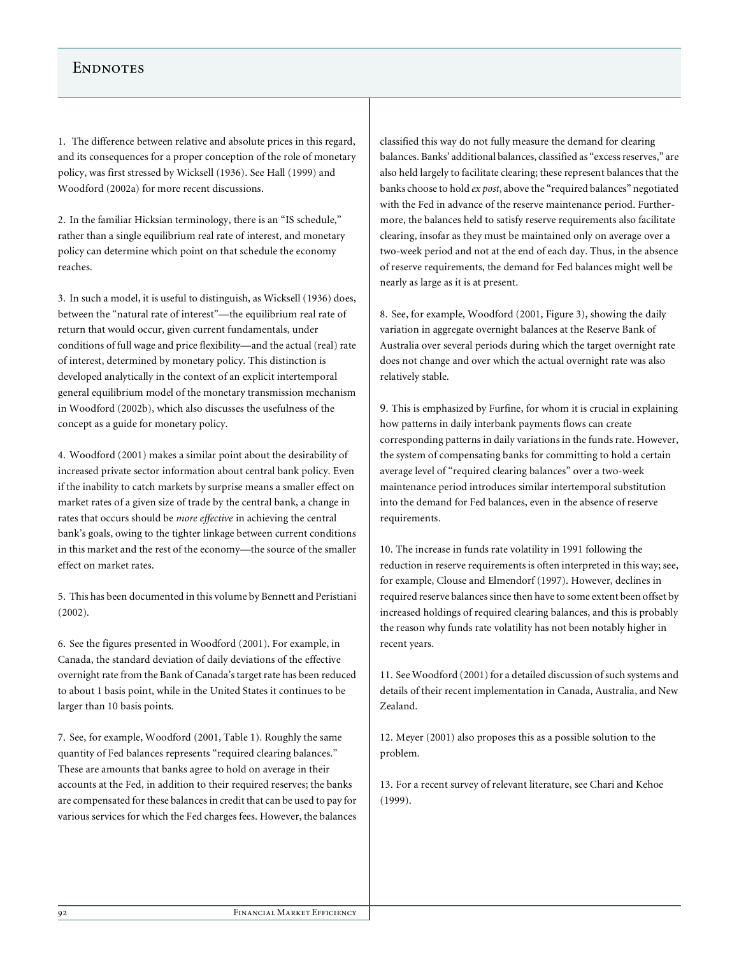#### **ENDNOTES**

1. The difference between relative and absolute prices in this regard, and its consequences for a proper conception of the role of monetary policy, was first stressed by Wicksell (1936). See Hall (1999) and Woodford (2002a) for more recent discussions.

2. In the familiar Hicksian terminology, there is an "IS schedule," rather than a single equilibrium real rate of interest, and monetary policy can determine which point on that schedule the economy reaches.

3. In such a model, it is useful to distinguish, as Wicksell (1936) does, between the "natural rate of interest"—the equilibrium real rate of return that would occur, given current fundamentals, under conditions of full wage and price flexibility—and the actual (real) rate of interest, determined by monetary policy. This distinction is developed analytically in the context of an explicit intertemporal general equilibrium model of the monetary transmission mechanism in Woodford (2002b), which also discusses the usefulness of the concept as a guide for monetary policy.

4. Woodford (2001) makes a similar point about the desirability of increased private sector information about central bank policy. Even if the inability to catch markets by surprise means a smaller effect on market rates of a given size of trade by the central bank, a change in rates that occurs should be *more effective* in achieving the central bank's goals, owing to the tighter linkage between current conditions in this market and the rest of the economy—the source of the smaller effect on market rates.

5. This has been documented in this volume by Bennett and Peristiani (2002).

6. See the figures presented in Woodford (2001). For example, in Canada, the standard deviation of daily deviations of the effective overnight rate from the Bank of Canada's target rate has been reduced to about 1 basis point, while in the United States it continues to be larger than 10 basis points.

7. See, for example, Woodford (2001, Table 1). Roughly the same quantity of Fed balances represents "required clearing balances." These are amounts that banks agree to hold on average in their accounts at the Fed, in addition to their required reserves; the banks are compensated for these balances in credit that can be used to pay for various services for which the Fed charges fees. However, the balances classified this way do not fully measure the demand for clearing balances. Banks' additional balances, classified as "excess reserves," are also held largely to facilitate clearing; these represent balances that the banks choose to hold *ex post*, above the "required balances" negotiated with the Fed in advance of the reserve maintenance period. Furthermore, the balances held to satisfy reserve requirements also facilitate clearing, insofar as they must be maintained only on average over a two-week period and not at the end of each day. Thus, in the absence of reserve requirements, the demand for Fed balances might well be nearly as large as it is at present.

8. See, for example, Woodford (2001, Figure 3), showing the daily variation in aggregate overnight balances at the Reserve Bank of Australia over several periods during which the target overnight rate does not change and over which the actual overnight rate was also relatively stable.

9. This is emphasized by Furfine, for whom it is crucial in explaining how patterns in daily interbank payments flows can create corresponding patterns in daily variations in the funds rate. However, the system of compensating banks for committing to hold a certain average level of "required clearing balances" over a two-week maintenance period introduces similar intertemporal substitution into the demand for Fed balances, even in the absence of reserve requirements.

10. The increase in funds rate volatility in 1991 following the reduction in reserve requirements is often interpreted in this way; see, for example, Clouse and Elmendorf (1997). However, declines in required reserve balances since then have to some extent been offset by increased holdings of required clearing balances, and this is probably the reason why funds rate volatility has not been notably higher in recent years.

11. See Woodford (2001) for a detailed discussion of such systems and details of their recent implementation in Canada, Australia, and New Zealand.

12. Meyer (2001) also proposes this as a possible solution to the problem.

13. For a recent survey of relevant literature, see Chari and Kehoe (1999).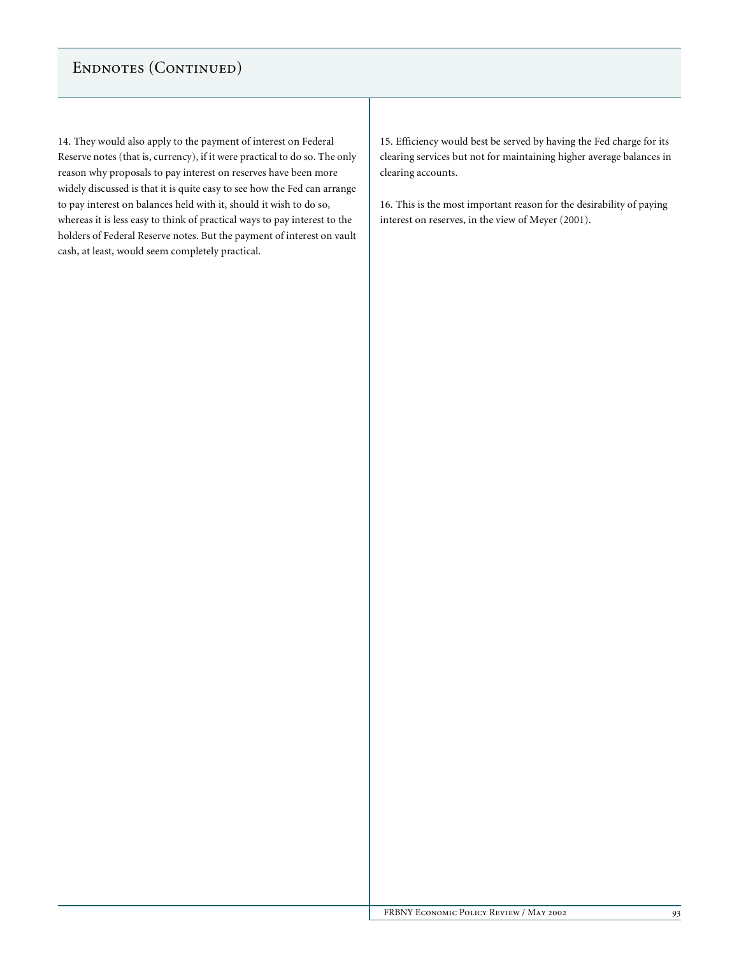# ENDNOTES (CONTINUED)

14. They would also apply to the payment of interest on Federal Reserve notes (that is, currency), if it were practical to do so. The only reason why proposals to pay interest on reserves have been more widely discussed is that it is quite easy to see how the Fed can arrange to pay interest on balances held with it, should it wish to do so, whereas it is less easy to think of practical ways to pay interest to the holders of Federal Reserve notes. But the payment of interest on vault cash, at least, would seem completely practical.

15. Efficiency would best be served by having the Fed charge for its clearing services but not for maintaining higher average balances in clearing accounts.

16. This is the most important reason for the desirability of paying interest on reserves, in the view of Meyer (2001).